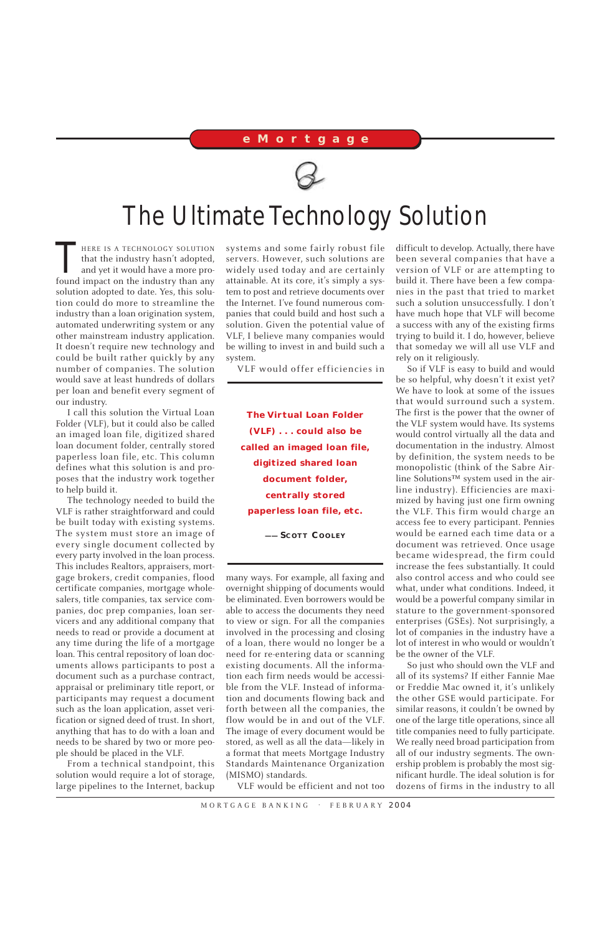HERE IS A TECHNOLOGY SOLUTION<br>that the industry hasn't adopted,<br>and yet it would have a more pro-<br>found impact on the industry than any that the industry hasn't adopted, and yet it would have a more profound impact on the industry than any solution adopted to date. Yes, this solution could do more to streamline the industry than a loan origination system, automated underwriting system or any other mainstream industry application. It doesn't require new technology and could be built rather quickly by any number of companies. The solution would save at least hundreds of dollars per loan and benefit every segment of our industry.

I call this solution the Virtual Loan Folder (VLF), but it could also be called an imaged loan file, digitized shared loan document folder, centrally stored paperless loan file, etc. This column defines what this solution is and proposes that the industry work together to help build it.

The technology needed to build the VLF is rather straightforward and could be built today with existing systems. The system must store an image of every single document collected by every party involved in the loan process. This includes Realtors, appraisers, mortgage brokers, credit companies, flood certificate companies, mortgage wholesalers, title companies, tax service companies, doc prep companies, loan servicers and any additional company that needs to read or provide a document at any time during the life of a mortgage loan. This central repository of loan documents allows participants to post a document such as a purchase contract, appraisal or preliminary title report, or participants may request a document such as the loan application, asset verification or signed deed of trust. In short, anything that has to do with a loan and needs to be shared by two or more people should be placed in the VLF.

From a technical standpoint, this solution would require a lot of storage, large pipelines to the Internet, backup systems and some fairly robust file servers. However, such solutions are widely used today and are certainly attainable. At its core, it's simply a system to post and retrieve documents over the Internet. I've found numerous companies that could build and host such a solution. Given the potential value of VLF, I believe many companies would be willing to invest in and build such a system.

VLF would offer efficiencies in

many ways. For example, all faxing and overnight shipping of documents would be eliminated. Even borrowers would be able to access the documents they need to view or sign. For all the companies involved in the processing and closing of a loan, there would no longer be a need for re-entering data or scanning existing documents. All the information each firm needs would be accessible from the VLF. Instead of information and documents flowing back and forth between all the companies, the flow would be in and out of the VLF. The image of every document would be stored, as well as all the data—likely in a format that meets Mortgage Industry Standards Maintenance Organization (MISMO) standards.

VLF would be efficient and not too

difficult to develop. Actually, there have been several companies that have a version of VLF or are attempting to build it. There have been a few companies in the past that tried to market such a solution unsuccessfully. I don't have much hope that VLF will become a success with any of the existing firms trying to build it. I do, however, believe that someday we will all use VLF and rely on it religiously.

So if VLF is easy to build and would be so helpful, why doesn't it exist yet? We have to look at some of the issues that would surround such a system. The first is the power that the owner of the VLF system would have. Its systems would control virtually all the data and documentation in the industry. Almost by definition, the system needs to be monopolistic (think of the Sabre Airline Solutions™ system used in the airline industry). Efficiencies are maximized by having just one firm owning the VLF. This firm would charge an access fee to every participant. Pennies would be earned each time data or a document was retrieved. Once usage became widespread, the firm could increase the fees substantially. It could also control access and who could see what, under what conditions. Indeed, it would be a powerful company similar in stature to the government-sponsored enterprises (GSEs). Not surprisingly, a lot of companies in the industry have a lot of interest in who would or wouldn't be the owner of the VLF.

So just who should own the VLF and all of its systems? If either Fannie Mae or Freddie Mac owned it, it's unlikely the other GSE would participate. For similar reasons, it couldn't be owned by one of the large title operations, since all title companies need to fully participate. We really need broad participation from all of our industry segments. The ownership problem is probably the most significant hurdle. The ideal solution is for dozens of firms in the industry to all

MORTGAGE BANKING . FEBRUARY 2004

## **eMortgage**



## The Ultimate Technology Solution

**The Virtual Loan Folder (VLF) ... could also be called an imaged loan file, digitized shared loan document folder, centrally stored paperless loan file, etc.**

**—— SCOTT COOLEY**